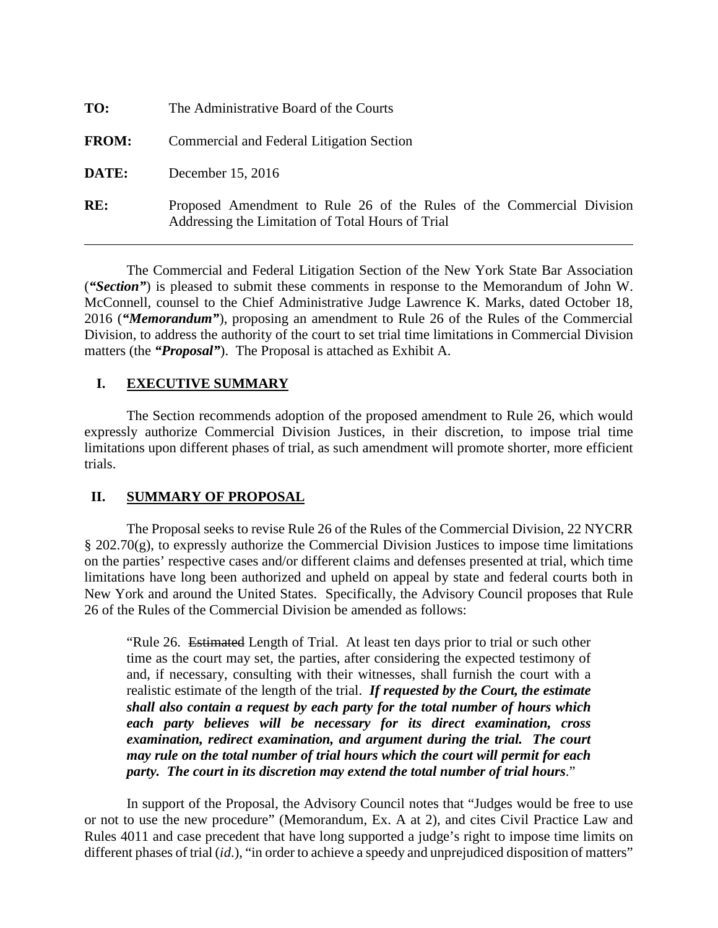| TO:          | The Administrative Board of the Courts                                                                                     |
|--------------|----------------------------------------------------------------------------------------------------------------------------|
| <b>FROM:</b> | Commercial and Federal Litigation Section                                                                                  |
| DATE:        | December 15, 2016                                                                                                          |
| RE:          | Proposed Amendment to Rule 26 of the Rules of the Commercial Division<br>Addressing the Limitation of Total Hours of Trial |

The Commercial and Federal Litigation Section of the New York State Bar Association (*"Section"*) is pleased to submit these comments in response to the Memorandum of John W. McConnell, counsel to the Chief Administrative Judge Lawrence K. Marks, dated October 18, 2016 (*"Memorandum"*), proposing an amendment to Rule 26 of the Rules of the Commercial Division, to address the authority of the court to set trial time limitations in Commercial Division matters (the *"Proposal"*). The Proposal is attached as Exhibit A.

## **I. EXECUTIVE SUMMARY**

The Section recommends adoption of the proposed amendment to Rule 26, which would expressly authorize Commercial Division Justices, in their discretion, to impose trial time limitations upon different phases of trial, as such amendment will promote shorter, more efficient trials.

## **II. SUMMARY OF PROPOSAL**

The Proposal seeks to revise Rule 26 of the Rules of the Commercial Division, 22 NYCRR § 202.70(g), to expressly authorize the Commercial Division Justices to impose time limitations on the parties' respective cases and/or different claims and defenses presented at trial, which time limitations have long been authorized and upheld on appeal by state and federal courts both in New York and around the United States. Specifically, the Advisory Council proposes that Rule 26 of the Rules of the Commercial Division be amended as follows:

"Rule 26. Estimated Length of Trial. At least ten days prior to trial or such other time as the court may set, the parties, after considering the expected testimony of and, if necessary, consulting with their witnesses, shall furnish the court with a realistic estimate of the length of the trial. *If requested by the Court, the estimate shall also contain a request by each party for the total number of hours which each party believes will be necessary for its direct examination, cross examination, redirect examination, and argument during the trial. The court may rule on the total number of trial hours which the court will permit for each party. The court in its discretion may extend the total number of trial hours*."

In support of the Proposal, the Advisory Council notes that "Judges would be free to use or not to use the new procedure" (Memorandum, Ex. A at 2), and cites Civil Practice Law and Rules 4011 and case precedent that have long supported a judge's right to impose time limits on different phases of trial (*id*.), "in order to achieve a speedy and unprejudiced disposition of matters"